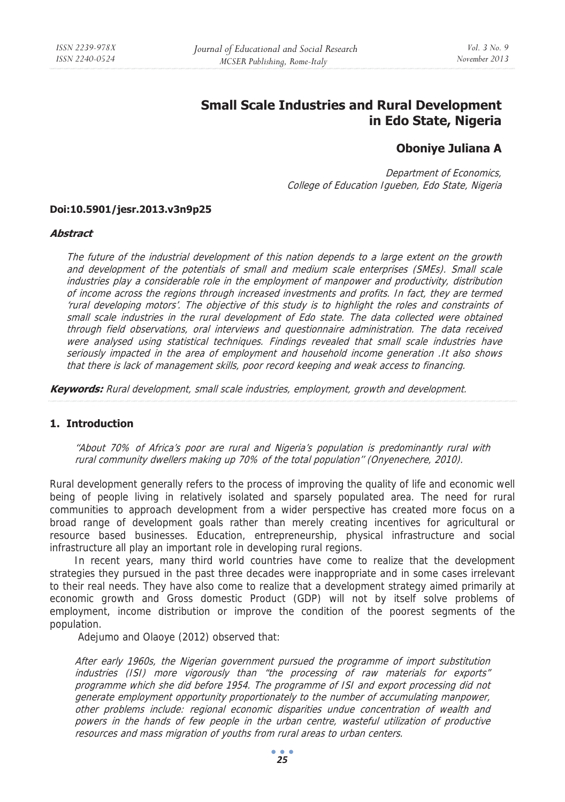# **Small Scale Industries and Rural Development in Edo State, Nigeria**

# **Oboniye Juliana A**

Department of Economics, College of Education Igueben, Edo State, Nigeria

#### **Doi:10.5901/jesr.2013.v3n9p25**

#### **Abstract**

The future of the industrial development of this nation depends to a large extent on the growth and development of the potentials of small and medium scale enterprises (SMEs). Small scale industries play a considerable role in the employment of manpower and productivity, distribution of income across the regions through increased investments and profits. In fact, they are termed 'rural developing motors'. The objective of this study is to highlight the roles and constraints of small scale industries in the rural development of Edo state. The data collected were obtained through field observations, oral interviews and questionnaire administration. The data received were analysed using statistical techniques. Findings revealed that small scale industries have seriously impacted in the area of employment and household income generation .It also shows that there is lack of management skills, poor record keeping and weak access to financing.

**Keywords:** Rural development, small scale industries, employment, growth and development.

## **1. Introduction**

''About 70% of Africa's poor are rural and Nigeria's population is predominantly rural with rural community dwellers making up 70% of the total population'' (Onyenechere, 2010).

Rural development generally refers to the process of improving the quality of life and economic well being of people living in relatively isolated and sparsely populated area. The need for rural communities to approach development from a wider perspective has created more focus on a broad range of development goals rather than merely creating incentives for agricultural or resource based businesses. Education, entrepreneurship, physical infrastructure and social infrastructure all play an important role in developing rural regions.

In recent years, many third world countries have come to realize that the development strategies they pursued in the past three decades were inappropriate and in some cases irrelevant to their real needs. They have also come to realize that a development strategy aimed primarily at economic growth and Gross domestic Product (GDP) will not by itself solve problems of employment, income distribution or improve the condition of the poorest segments of the population.

Adejumo and Olaoye (2012) observed that:

After early 1960s, the Nigerian government pursued the programme of import substitution industries (ISI) more vigorously than "the processing of raw materials for exports" programme which she did before 1954. The programme of ISI and export processing did not generate employment opportunity proportionately to the number of accumulating manpower, other problems include: regional economic disparities undue concentration of wealth and powers in the hands of few people in the urban centre, wasteful utilization of productive resources and mass migration of youths from rural areas to urban centers.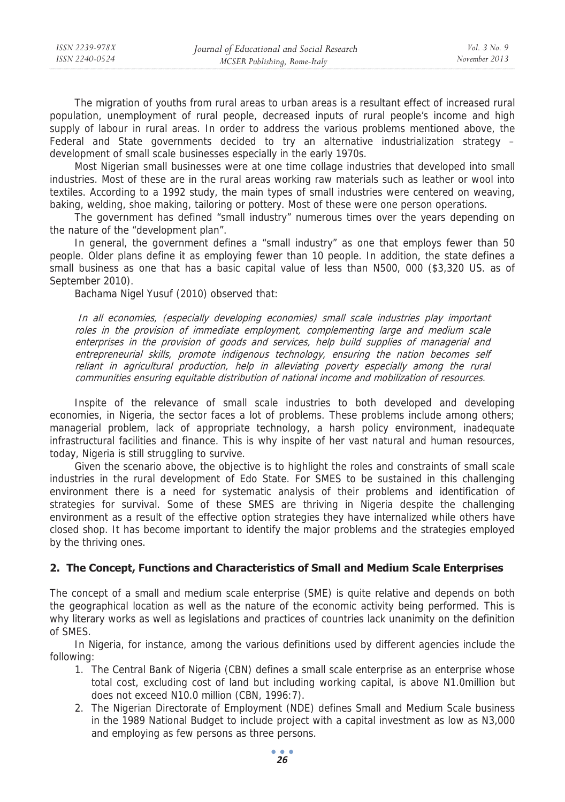The migration of youths from rural areas to urban areas is a resultant effect of increased rural population, unemployment of rural people, decreased inputs of rural people's income and high supply of labour in rural areas. In order to address the various problems mentioned above, the Federal and State governments decided to try an alternative industrialization strategy – development of small scale businesses especially in the early 1970s.

Most Nigerian small businesses were at one time collage industries that developed into small industries. Most of these are in the rural areas working raw materials such as leather or wool into textiles. According to a 1992 study, the main types of small industries were centered on weaving, baking, welding, shoe making, tailoring or pottery. Most of these were one person operations.

The government has defined "small industry" numerous times over the years depending on the nature of the "development plan".

In general, the government defines a "small industry" as one that employs fewer than 50 people. Older plans define it as employing fewer than 10 people. In addition, the state defines a small business as one that has a basic capital value of less than N500, 000 (\$3,320 US. as of September 2010).

Bachama Nigel Yusuf (2010) observed that:

 In all economies, (especially developing economies) small scale industries play important roles in the provision of immediate employment, complementing large and medium scale enterprises in the provision of goods and services, help build supplies of managerial and entrepreneurial skills, promote indigenous technology, ensuring the nation becomes self reliant in agricultural production, help in alleviating poverty especially among the rural communities ensuring equitable distribution of national income and mobilization of resources.

Inspite of the relevance of small scale industries to both developed and developing economies, in Nigeria, the sector faces a lot of problems. These problems include among others; managerial problem, lack of appropriate technology, a harsh policy environment, inadequate infrastructural facilities and finance. This is why inspite of her vast natural and human resources, today, Nigeria is still struggling to survive.

Given the scenario above, the objective is to highlight the roles and constraints of small scale industries in the rural development of Edo State. For SMES to be sustained in this challenging environment there is a need for systematic analysis of their problems and identification of strategies for survival. Some of these SMES are thriving in Nigeria despite the challenging environment as a result of the effective option strategies they have internalized while others have closed shop. It has become important to identify the major problems and the strategies employed by the thriving ones.

# **2. The Concept, Functions and Characteristics of Small and Medium Scale Enterprises**

The concept of a small and medium scale enterprise (SME) is quite relative and depends on both the geographical location as well as the nature of the economic activity being performed. This is why literary works as well as legislations and practices of countries lack unanimity on the definition of SMES.

In Nigeria, for instance, among the various definitions used by different agencies include the following:

- 1. The Central Bank of Nigeria (CBN) defines a small scale enterprise as an enterprise whose total cost, excluding cost of land but including working capital, is above N1.0million but does not exceed N10.0 million (CBN, 1996:7).
- 2. The Nigerian Directorate of Employment (NDE) defines Small and Medium Scale business in the 1989 National Budget to include project with a capital investment as low as N3,000 and employing as few persons as three persons.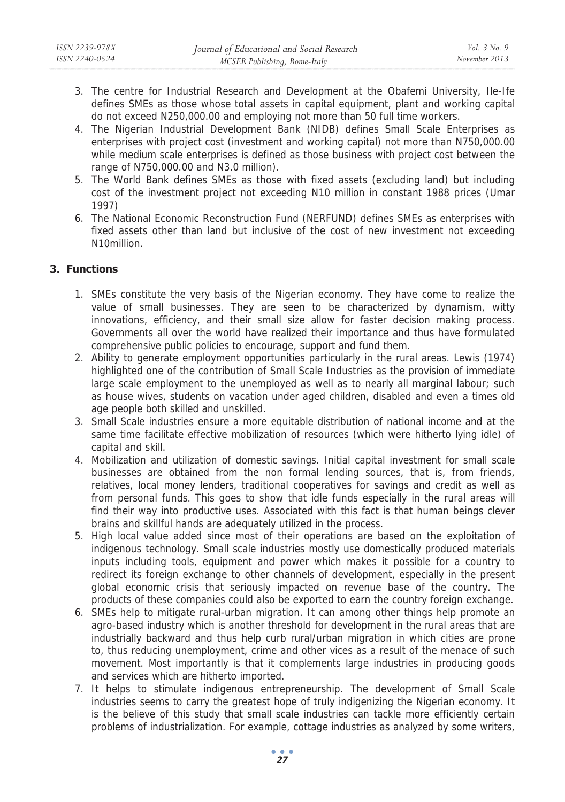- 3. The centre for Industrial Research and Development at the Obafemi University, Ile-Ife defines SMEs as those whose total assets in capital equipment, plant and working capital do not exceed N250,000.00 and employing not more than 50 full time workers.
- 4. The Nigerian Industrial Development Bank (NIDB) defines Small Scale Enterprises as enterprises with project cost (investment and working capital) not more than N750,000.00 while medium scale enterprises is defined as those business with project cost between the range of N750,000.00 and N3.0 million).
- 5. The World Bank defines SMEs as those with fixed assets (excluding land) but including cost of the investment project not exceeding N10 million in constant 1988 prices (Umar 1997)
- 6. The National Economic Reconstruction Fund (NERFUND) defines SMEs as enterprises with fixed assets other than land but inclusive of the cost of new investment not exceeding N10million.

# **3. Functions**

- 1. SMEs constitute the very basis of the Nigerian economy. They have come to realize the value of small businesses. They are seen to be characterized by dynamism, witty innovations, efficiency, and their small size allow for faster decision making process. Governments all over the world have realized their importance and thus have formulated comprehensive public policies to encourage, support and fund them.
- 2. Ability to generate employment opportunities particularly in the rural areas. Lewis (1974) highlighted one of the contribution of Small Scale Industries as the provision of immediate large scale employment to the unemployed as well as to nearly all marginal labour; such as house wives, students on vacation under aged children, disabled and even a times old age people both skilled and unskilled.
- 3. Small Scale industries ensure a more equitable distribution of national income and at the same time facilitate effective mobilization of resources (which were hitherto lying idle) of capital and skill.
- 4. Mobilization and utilization of domestic savings. Initial capital investment for small scale businesses are obtained from the non formal lending sources, that is, from friends, relatives, local money lenders, traditional cooperatives for savings and credit as well as from personal funds. This goes to show that idle funds especially in the rural areas will find their way into productive uses. Associated with this fact is that human beings clever brains and skillful hands are adequately utilized in the process.
- 5. High local value added since most of their operations are based on the exploitation of indigenous technology. Small scale industries mostly use domestically produced materials inputs including tools, equipment and power which makes it possible for a country to redirect its foreign exchange to other channels of development, especially in the present global economic crisis that seriously impacted on revenue base of the country. The products of these companies could also be exported to earn the country foreign exchange.
- 6. SMEs help to mitigate rural-urban migration. It can among other things help promote an agro-based industry which is another threshold for development in the rural areas that are industrially backward and thus help curb rural/urban migration in which cities are prone to, thus reducing unemployment, crime and other vices as a result of the menace of such movement. Most importantly is that it complements large industries in producing goods and services which are hitherto imported.
- 7. It helps to stimulate indigenous entrepreneurship. The development of Small Scale industries seems to carry the greatest hope of truly indigenizing the Nigerian economy. It is the believe of this study that small scale industries can tackle more efficiently certain problems of industrialization. For example, cottage industries as analyzed by some writers,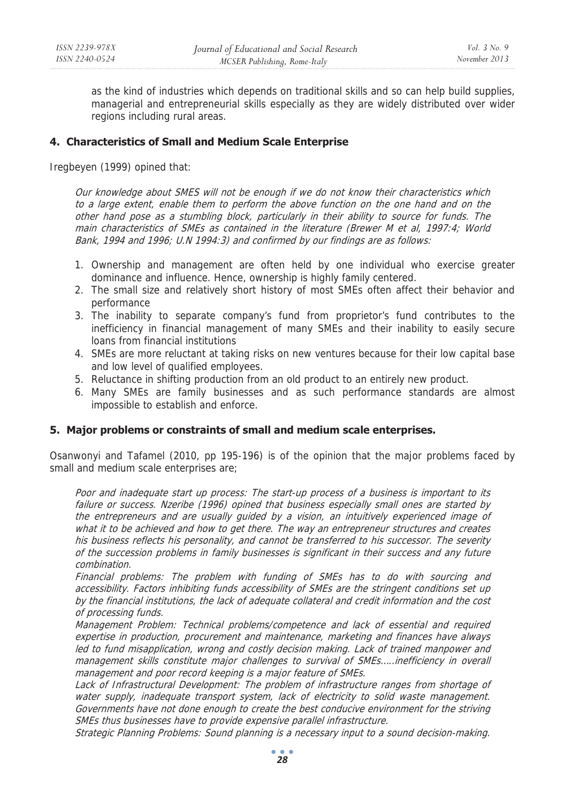as the kind of industries which depends on traditional skills and so can help build supplies, managerial and entrepreneurial skills especially as they are widely distributed over wider regions including rural areas.

## **4. Characteristics of Small and Medium Scale Enterprise**

Iregbeyen (1999) opined that:

Our knowledge about SMES will not be enough if we do not know their characteristics which to a large extent, enable them to perform the above function on the one hand and on the other hand pose as a stumbling block, particularly in their ability to source for funds. The main characteristics of SMEs as contained in the literature (Brewer M et al, 1997:4; World Bank, 1994 and 1996; U.N 1994:3) and confirmed by our findings are as follows:

- 1. Ownership and management are often held by one individual who exercise greater dominance and influence. Hence, ownership is highly family centered.
- 2. The small size and relatively short history of most SMEs often affect their behavior and performance
- 3. The inability to separate company's fund from proprietor's fund contributes to the inefficiency in financial management of many SMEs and their inability to easily secure loans from financial institutions
- 4. SMEs are more reluctant at taking risks on new ventures because for their low capital base and low level of qualified employees.
- 5. Reluctance in shifting production from an old product to an entirely new product.
- 6. Many SMEs are family businesses and as such performance standards are almost impossible to establish and enforce.

## **5. Major problems or constraints of small and medium scale enterprises.**

Osanwonyi and Tafamel (2010, pp 195-196) is of the opinion that the major problems faced by small and medium scale enterprises are;

Poor and inadequate start up process: The start-up process of a business is important to its failure or success. Nzeribe (1996) opined that business especially small ones are started by the entrepreneurs and are usually guided by a vision, an intuitively experienced image of what it to be achieved and how to get there. The way an entrepreneur structures and creates his business reflects his personality, and cannot be transferred to his successor. The severity of the succession problems in family businesses is significant in their success and any future combination.

Financial problems: The problem with funding of SMEs has to do with sourcing and accessibility. Factors inhibiting funds accessibility of SMEs are the stringent conditions set up by the financial institutions, the lack of adequate collateral and credit information and the cost of processing funds.

Management Problem: Technical problems/competence and lack of essential and required expertise in production, procurement and maintenance, marketing and finances have always led to fund misapplication, wrong and costly decision making. Lack of trained manpower and management skills constitute major challenges to survival of SMEs…..inefficiency in overall management and poor record keeping is a major feature of SMEs.

Lack of Infrastructural Development: The problem of infrastructure ranges from shortage of water supply, inadequate transport system, lack of electricity to solid waste management. Governments have not done enough to create the best conducive environment for the striving SMEs thus businesses have to provide expensive parallel infrastructure.

Strategic Planning Problems: Sound planning is a necessary input to a sound decision-making.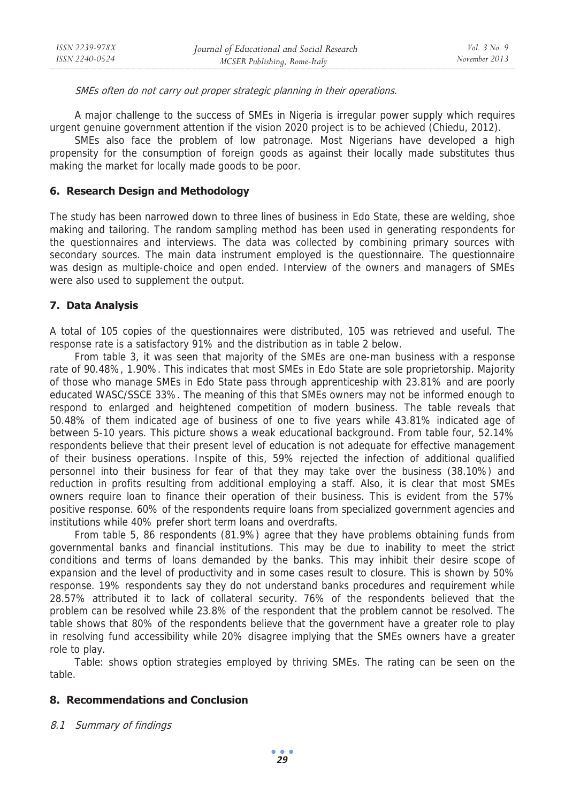SMEs often do not carry out proper strategic planning in their operations.

A major challenge to the success of SMEs in Nigeria is irregular power supply which requires urgent genuine government attention if the vision 2020 project is to be achieved (Chiedu, 2012).

SMEs also face the problem of low patronage. Most Nigerians have developed a high propensity for the consumption of foreign goods as against their locally made substitutes thus making the market for locally made goods to be poor.

## **6. Research Design and Methodology**

The study has been narrowed down to three lines of business in Edo State, these are welding, shoe making and tailoring. The random sampling method has been used in generating respondents for the questionnaires and interviews. The data was collected by combining primary sources with secondary sources. The main data instrument employed is the questionnaire. The questionnaire was design as multiple-choice and open ended. Interview of the owners and managers of SMEs were also used to supplement the output.

#### **7. Data Analysis**

A total of 105 copies of the questionnaires were distributed, 105 was retrieved and useful. The response rate is a satisfactory 91% and the distribution as in table 2 below.

From table 3, it was seen that majority of the SMEs are one-man business with a response rate of 90.48%, 1.90%. This indicates that most SMEs in Edo State are sole proprietorship. Majority of those who manage SMEs in Edo State pass through apprenticeship with 23.81% and are poorly educated WASC/SSCE 33%. The meaning of this that SMEs owners may not be informed enough to respond to enlarged and heightened competition of modern business. The table reveals that 50.48% of them indicated age of business of one to five years while 43.81% indicated age of between 5-10 years. This picture shows a weak educational background. From table four, 52.14% respondents believe that their present level of education is not adequate for effective management of their business operations. Inspite of this, 59% rejected the infection of additional qualified personnel into their business for fear of that they may take over the business (38.10%) and reduction in profits resulting from additional employing a staff. Also, it is clear that most SMEs owners require loan to finance their operation of their business. This is evident from the 57% positive response. 60% of the respondents require loans from specialized government agencies and institutions while 40% prefer short term loans and overdrafts.

From table 5, 86 respondents (81.9%) agree that they have problems obtaining funds from governmental banks and financial institutions. This may be due to inability to meet the strict conditions and terms of loans demanded by the banks. This may inhibit their desire scope of expansion and the level of productivity and in some cases result to closure. This is shown by 50% response. 19% respondents say they do not understand banks procedures and requirement while 28.57% attributed it to lack of collateral security. 76% of the respondents believed that the problem can be resolved while 23.8% of the respondent that the problem cannot be resolved. The table shows that 80% of the respondents believe that the government have a greater role to play in resolving fund accessibility while 20% disagree implying that the SMEs owners have a greater role to play.

Table: shows option strategies employed by thriving SMEs. The rating can be seen on the table.

## **8. Recommendations and Conclusion**

8.1 Summary of findings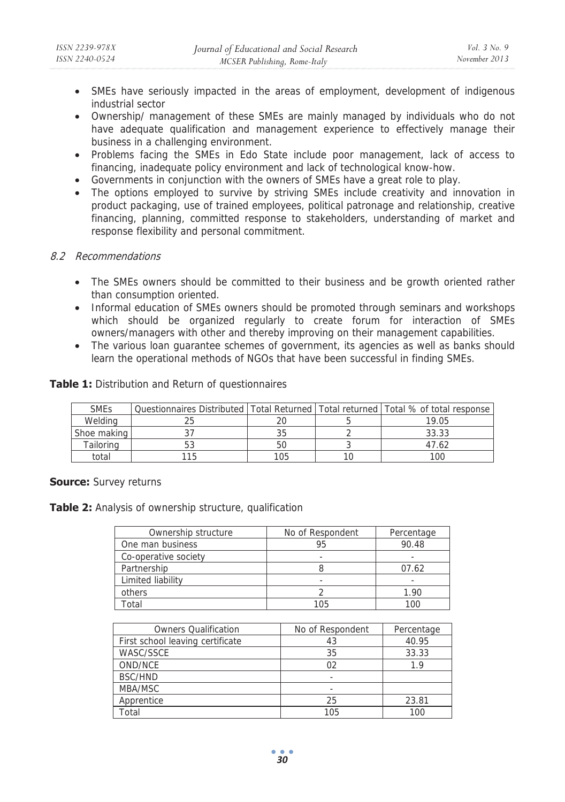- SMEs have seriously impacted in the areas of employment, development of indigenous industrial sector
- Ownership/ management of these SMEs are mainly managed by individuals who do not have adequate qualification and management experience to effectively manage their business in a challenging environment.
- Problems facing the SMEs in Edo State include poor management, lack of access to financing, inadequate policy environment and lack of technological know-how.
- Governments in conjunction with the owners of SMEs have a great role to play.
- The options employed to survive by striving SMEs include creativity and innovation in product packaging, use of trained employees, political patronage and relationship, creative financing, planning, committed response to stakeholders, understanding of market and response flexibility and personal commitment.

#### 8.2 Recommendations

- The SMEs owners should be committed to their business and be growth oriented rather than consumption oriented.
- Informal education of SMEs owners should be promoted through seminars and workshops which should be organized regularly to create forum for interaction of SMEs owners/managers with other and thereby improving on their management capabilities.
- The various loan quarantee schemes of government, its agencies as well as banks should learn the operational methods of NGOs that have been successful in finding SMEs.

| <b>SME<sub>S</sub></b> | Questionnaires Distributed   Total Returned   Total returned   Total % of total response |     |       |
|------------------------|------------------------------------------------------------------------------------------|-----|-------|
| Welding                |                                                                                          |     | 19.05 |
| Shoe making            |                                                                                          |     | วว วว |
| <sup>-</sup> ailorina  | г.                                                                                       |     |       |
| total                  | 115                                                                                      | '05 | 100   |

**Table 1:** Distribution and Return of questionnaires

#### **Source:** Survey returns

**Table 2:** Analysis of ownership structure, qualification

| Ownership structure  | No of Respondent | Percentage |
|----------------------|------------------|------------|
| One man business     | 95               | 90.48      |
| Co-operative society |                  |            |
| Partnership          |                  | 07.62      |
| Limited liability    |                  |            |
| others               |                  | 1.90       |
| <sup>-</sup> otal    | 105              | 100        |

| <b>Owners Qualification</b>      | No of Respondent | Percentage |
|----------------------------------|------------------|------------|
| First school leaving certificate | 43               | 40.95      |
| WASC/SSCE                        | 35               | 33.33      |
| OND/NCE                          | 02               | 1 Q        |
| BSC/HND                          |                  |            |
| MBA/MSC                          |                  |            |
| Apprentice                       | 25               | 23.81      |
| Total                            | 105              | 100        |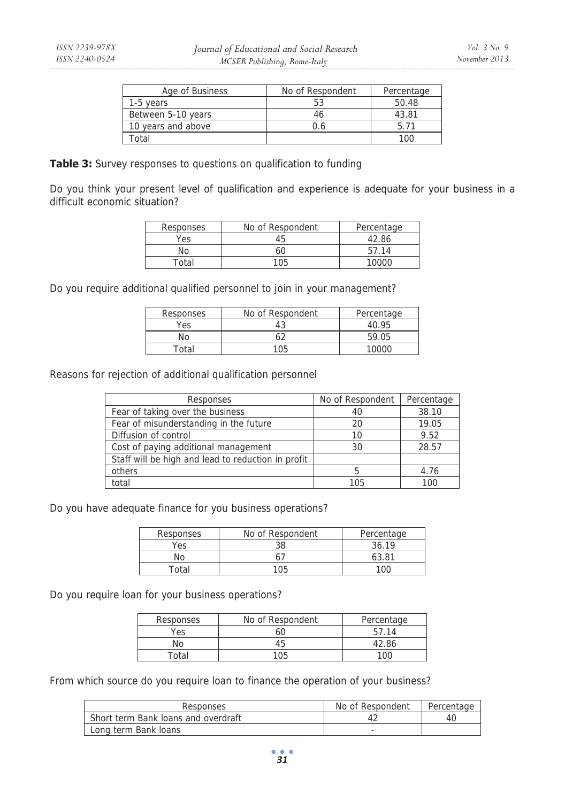| Age of Business    | No of Respondent | Percentage |
|--------------------|------------------|------------|
| 1-5 vears          |                  | 50.48      |
| Between 5-10 years | 46               | 43.81      |
| 10 years and above | ). 6             |            |
| Total              |                  | 100        |

**Table 3:** Survey responses to questions on qualification to funding

Do you think your present level of qualification and experience is adequate for your business in a difficult economic situation?

| No of Respondent<br>Responses |       | Percentage |
|-------------------------------|-------|------------|
| Yes                           | 45    | 42.86      |
| No                            | 6С    | 57 14      |
| Total                         | 1 በ 5 | 10000      |

Do you require additional qualified personnel to join in your management?

| Responses | No of Respondent | Percentage |
|-----------|------------------|------------|
| Yes       |                  | 40 Q5      |
| N٥        |                  | 59.05      |
| Fotal     | 105              | 10000      |

Reasons for rejection of additional qualification personnel

| Responses                                          | No of Respondent | Percentage |
|----------------------------------------------------|------------------|------------|
| Fear of taking over the business                   |                  | 38.10      |
| Fear of misunderstanding in the future             | 20               | 19.05      |
| Diffusion of control                               | 10               | 9.52       |
| Cost of paying additional management               | 30               | 28.57      |
| Staff will be high and lead to reduction in profit |                  |            |
| others                                             |                  | 4.76       |
| total                                              | 105              | 100        |

Do you have adequate finance for you business operations?

| Responses | No of Respondent | Percentage |
|-----------|------------------|------------|
| Yes       | 38               | 36.19      |
| No        |                  | 63.81      |
| Total     | 1በ5              | 100 L      |

Do you require loan for your business operations?

| Responses | No of Respondent | Percentage |
|-----------|------------------|------------|
| Yes       |                  |            |
| Nο        |                  | 42.86      |
| Total     | 105              | 100.       |

From which source do you require loan to finance the operation of your business?

| Responses                           | No of Respondent | Percentage |
|-------------------------------------|------------------|------------|
| Short term Bank loans and overdraft |                  | 40         |
| Long term Bank loans                |                  |            |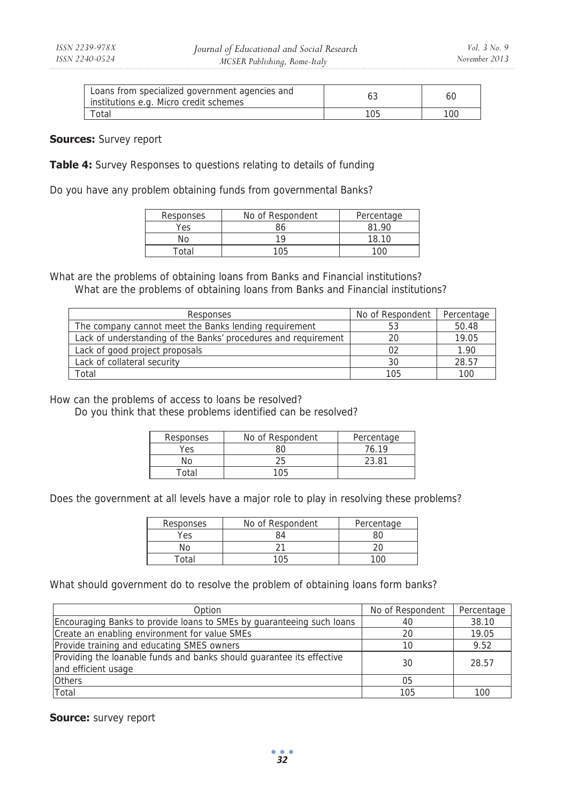| Loans from specialized government agencies and<br>institutions e.g. Micro credit schemes |     | 60  |
|------------------------------------------------------------------------------------------|-----|-----|
| Total                                                                                    | 105 | 100 |

#### **Sources:** Survey report

#### **Table 4:** Survey Responses to questions relating to details of funding

Do you have any problem obtaining funds from governmental Banks?

| Responses | No of Respondent | Percentage |
|-----------|------------------|------------|
| Yes       | 86               | 81 OC      |
| Nο        | 1 ດ              | 18 10      |
| Total     | 105              |            |

What are the problems of obtaining loans from Banks and Financial institutions? What are the problems of obtaining loans from Banks and Financial institutions?

| Responses                                                      | No of Respondent | Percentage |
|----------------------------------------------------------------|------------------|------------|
| The company cannot meet the Banks lending requirement          |                  | 50.48      |
| Lack of understanding of the Banks' procedures and requirement |                  | 19.05      |
| Lack of good project proposals                                 |                  | 1.90       |
| Lack of collateral security                                    | 30               | 28.57      |
| Total                                                          | 105              | 100        |

How can the problems of access to loans be resolved?

Do you think that these problems identified can be resolved?

| Responses | No of Respondent | Percentage |
|-----------|------------------|------------|
| Yes       |                  | 76 19      |
| N٥        |                  | 23.81      |
| Total     | 1በ5              |            |

Does the government at all levels have a major role to play in resolving these problems?

| Responses | No of Respondent | Percentage |
|-----------|------------------|------------|
| Yes       | RΔ               |            |
| N٥        |                  |            |
| ™otal     | 105              |            |

What should government do to resolve the problem of obtaining loans form banks?

| Option                                                                | No of Respondent | Percentage |
|-----------------------------------------------------------------------|------------------|------------|
| Encouraging Banks to provide loans to SMEs by quaranteeing such loans | 40               | 38.10      |
| Create an enabling environment for value SMEs                         | 20               | 19.05      |
| Provide training and educating SMES owners                            | 10               | 9.52       |
| Providing the loanable funds and banks should quarantee its effective | 30               | 28.57      |
| and efficient usage                                                   |                  |            |
| <b>Others</b>                                                         | 05               |            |
| Total                                                                 | 105              | 100        |

**Source:** survey report